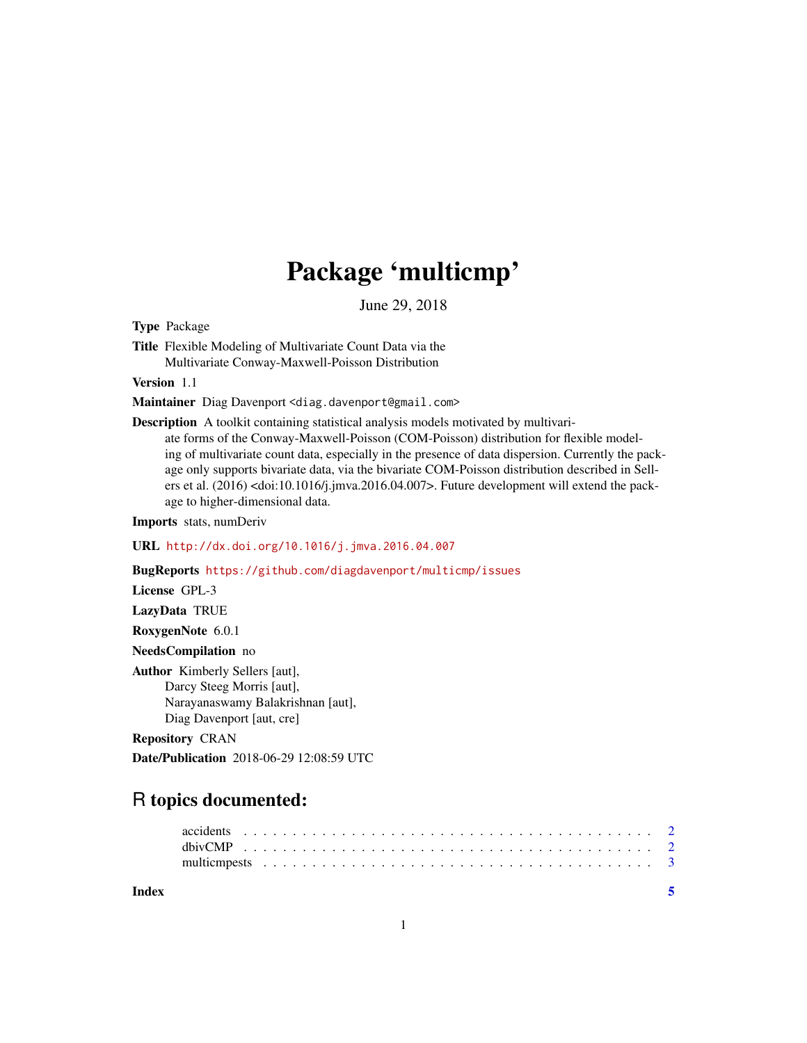# Package 'multicmp'

June 29, 2018

Type Package

Title Flexible Modeling of Multivariate Count Data via the Multivariate Conway-Maxwell-Poisson Distribution

Version 1.1

Maintainer Diag Davenport <diag.davenport@gmail.com>

Description A toolkit containing statistical analysis models motivated by multivariate forms of the Conway-Maxwell-Poisson (COM-Poisson) distribution for flexible modeling of multivariate count data, especially in the presence of data dispersion. Currently the package only supports bivariate data, via the bivariate COM-Poisson distribution described in Sellers et al. (2016) <doi:10.1016/j.jmva.2016.04.007>. Future development will extend the package to higher-dimensional data.

Imports stats, numDeriv

URL <http://dx.doi.org/10.1016/j.jmva.2016.04.007>

BugReports <https://github.com/diagdavenport/multicmp/issues>

License GPL-3

LazyData TRUE

RoxygenNote 6.0.1

NeedsCompilation no

Author Kimberly Sellers [aut], Darcy Steeg Morris [aut], Narayanaswamy Balakrishnan [aut], Diag Davenport [aut, cre]

Repository CRAN

Date/Publication 2018-06-29 12:08:59 UTC

# R topics documented:

**Index** [5](#page-4-0). The second state of the second state of the second state of the second state of the second state of the second state of the second state of the second state of the second state of the second state of the second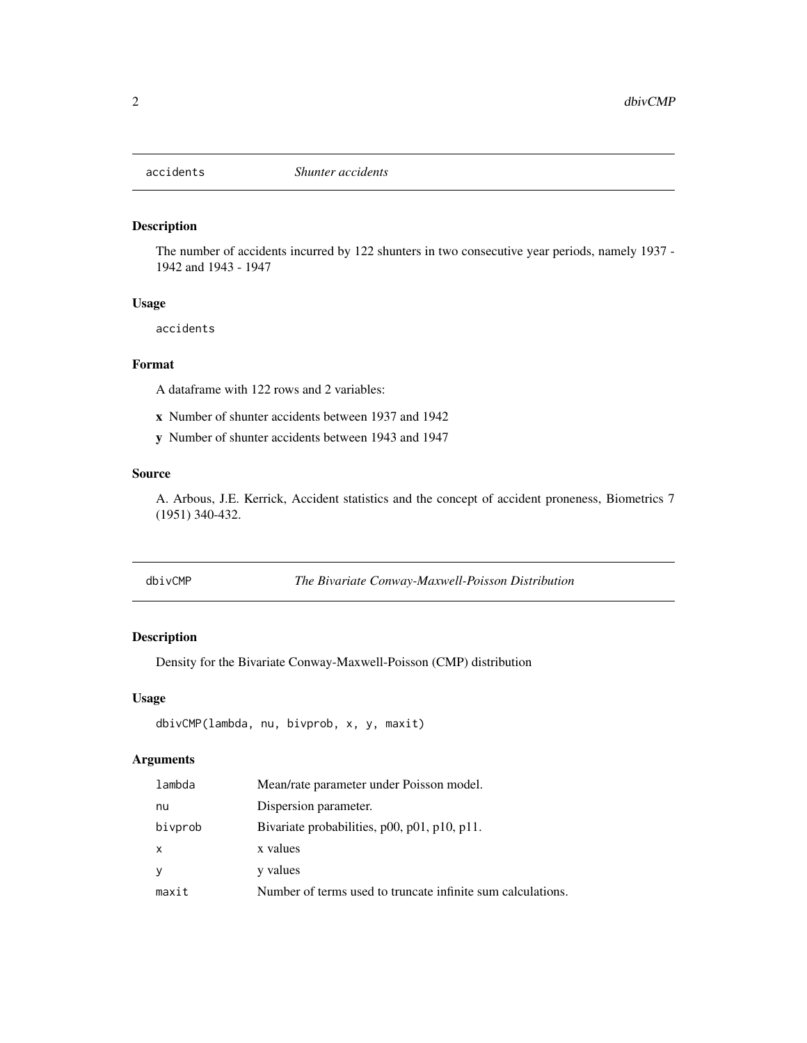<span id="page-1-0"></span>

#### Description

The number of accidents incurred by 122 shunters in two consecutive year periods, namely 1937 - 1942 and 1943 - 1947

# Usage

accidents

#### Format

A dataframe with 122 rows and 2 variables:

x Number of shunter accidents between 1937 and 1942

y Number of shunter accidents between 1943 and 1947

#### Source

A. Arbous, J.E. Kerrick, Accident statistics and the concept of accident proneness, Biometrics 7 (1951) 340-432.

dbivCMP *The Bivariate Conway-Maxwell-Poisson Distribution*

# Description

Density for the Bivariate Conway-Maxwell-Poisson (CMP) distribution

#### Usage

```
dbivCMP(lambda, nu, bivprob, x, y, maxit)
```
# Arguments

| lambda       | Mean/rate parameter under Poisson model.                    |
|--------------|-------------------------------------------------------------|
| nu           | Dispersion parameter.                                       |
| bivprob      | Bivariate probabilities, p00, p01, p10, p11.                |
| $\mathsf{x}$ | x values                                                    |
| <sub>y</sub> | y values                                                    |
| maxit        | Number of terms used to truncate infinite sum calculations. |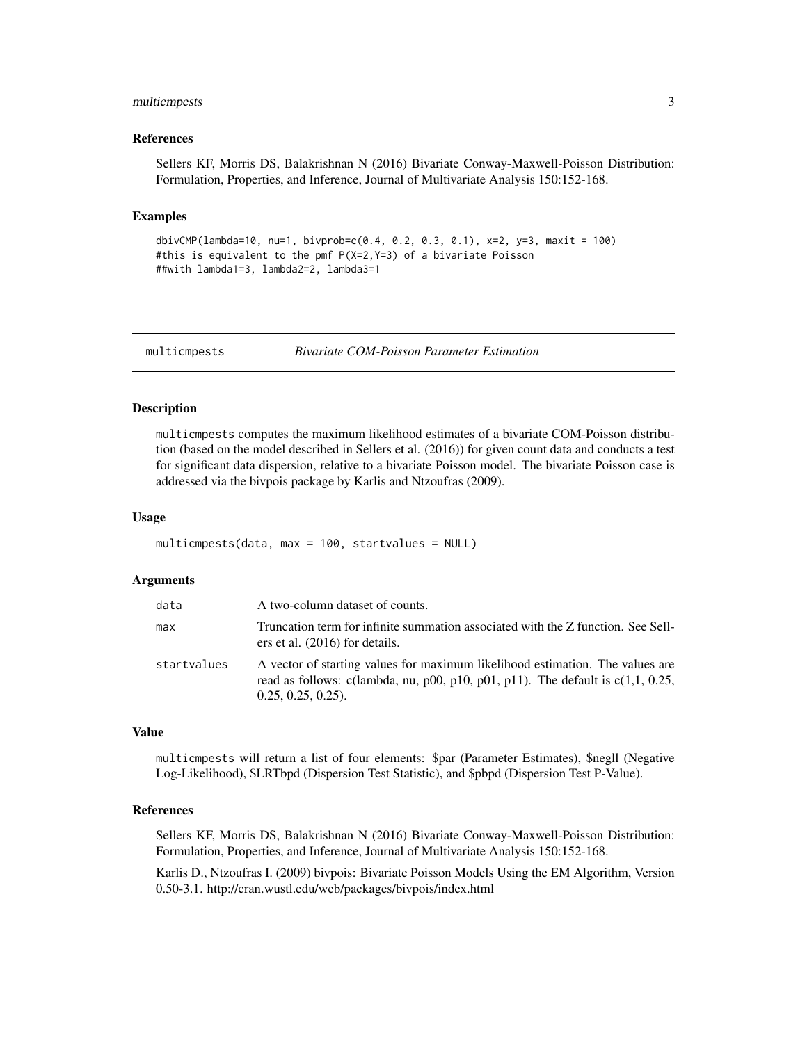#### <span id="page-2-0"></span>multicmpests 3

#### References

Sellers KF, Morris DS, Balakrishnan N (2016) Bivariate Conway-Maxwell-Poisson Distribution: Formulation, Properties, and Inference, Journal of Multivariate Analysis 150:152-168.

#### Examples

```
dbivCMP(lambda=10, nu=1, bivprob=c(0.4, 0.2, 0.3, 0.1), x=2, y=3, maxit = 100)
#this is equivalent to the pmf P(X=2,Y=3) of a bivariate Poisson
##with lambda1=3, lambda2=2, lambda3=1
```
multicmpests *Bivariate COM-Poisson Parameter Estimation*

#### Description

multicmpests computes the maximum likelihood estimates of a bivariate COM-Poisson distribution (based on the model described in Sellers et al. (2016)) for given count data and conducts a test for significant data dispersion, relative to a bivariate Poisson model. The bivariate Poisson case is addressed via the bivpois package by Karlis and Ntzoufras (2009).

#### Usage

multicmpests(data, max = 100, startvalues = NULL)

#### Arguments

| data        | A two-column dataset of counts.                                                                                                                                                            |
|-------------|--------------------------------------------------------------------------------------------------------------------------------------------------------------------------------------------|
| max         | Truncation term for infinite summation associated with the Z function. See Sell-<br>ers et al. (2016) for details.                                                                         |
| startvalues | A vector of starting values for maximum likelihood estimation. The values are<br>read as follows: c(lambda, nu, p00, p10, p01, p11). The default is $c(1,1, 0.25,$<br>$0.25, 0.25, 0.25$ . |

#### Value

multicmpests will return a list of four elements: \$par (Parameter Estimates), \$negll (Negative Log-Likelihood), \$LRTbpd (Dispersion Test Statistic), and \$pbpd (Dispersion Test P-Value).

# References

Sellers KF, Morris DS, Balakrishnan N (2016) Bivariate Conway-Maxwell-Poisson Distribution: Formulation, Properties, and Inference, Journal of Multivariate Analysis 150:152-168.

Karlis D., Ntzoufras I. (2009) bivpois: Bivariate Poisson Models Using the EM Algorithm, Version 0.50-3.1. http://cran.wustl.edu/web/packages/bivpois/index.html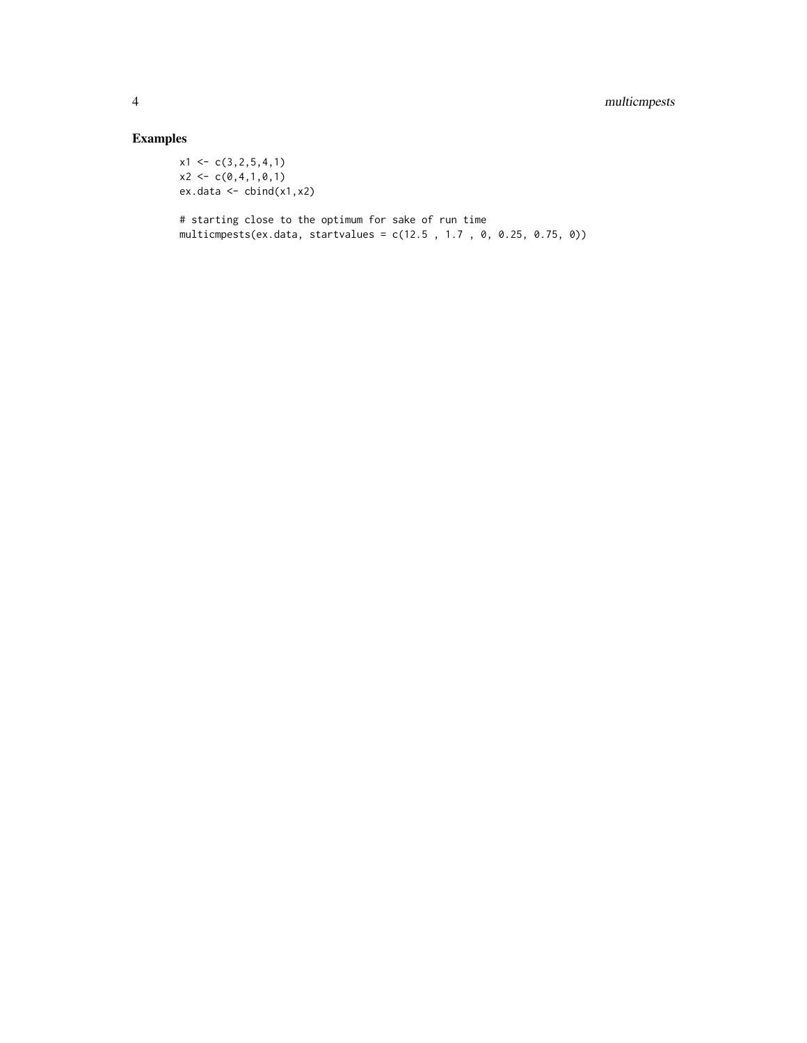# Examples

 $x1 \leftarrow c(3, 2, 5, 4, 1)$  $x2 \leftarrow c(0,4,1,0,1)$ ex.data <- cbind(x1,x2)

# starting close to the optimum for sake of run time multicmpests(ex.data, startvalues = c(12.5 , 1.7 , 0, 0.25, 0.75, 0))